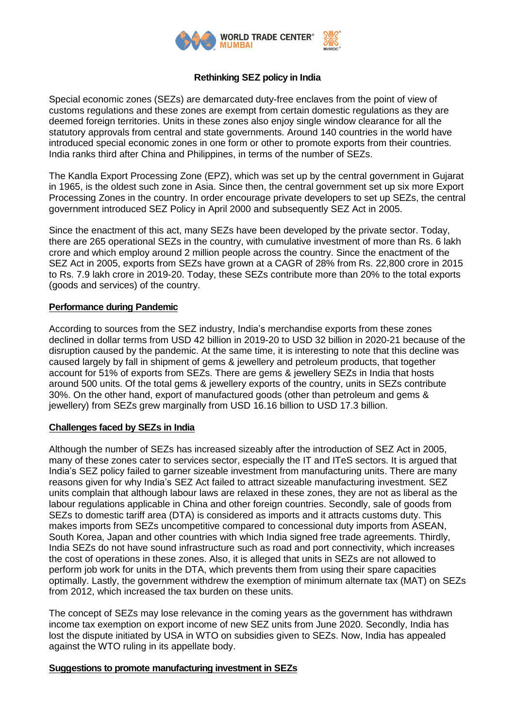

# **Rethinking SEZ policy in India**

Special economic zones (SEZs) are demarcated duty-free enclaves from the point of view of customs regulations and these zones are exempt from certain domestic regulations as they are deemed foreign territories. Units in these zones also enjoy single window clearance for all the statutory approvals from central and state governments. Around 140 countries in the world have introduced special economic zones in one form or other to promote exports from their countries. India ranks third after China and Philippines, in terms of the number of SEZs.

The Kandla Export Processing Zone (EPZ), which was set up by the central government in Gujarat in 1965, is the oldest such zone in Asia. Since then, the central government set up six more Export Processing Zones in the country. In order encourage private developers to set up SEZs, the central government introduced SEZ Policy in April 2000 and subsequently SEZ Act in 2005.

Since the enactment of this act, many SEZs have been developed by the private sector. Today, there are 265 operational SEZs in the country, with cumulative investment of more than Rs. 6 lakh crore and which employ around 2 million people across the country. Since the enactment of the SEZ Act in 2005, exports from SEZs have grown at a CAGR of 28% from Rs. 22,800 crore in 2015 to Rs. 7.9 lakh crore in 2019-20. Today, these SEZs contribute more than 20% to the total exports (goods and services) of the country.

## **Performance during Pandemic**

According to sources from the SEZ industry, India's merchandise exports from these zones declined in dollar terms from USD 42 billion in 2019-20 to USD 32 billion in 2020-21 because of the disruption caused by the pandemic. At the same time, it is interesting to note that this decline was caused largely by fall in shipment of gems & jewellery and petroleum products, that together account for 51% of exports from SEZs. There are gems & jewellery SEZs in India that hosts around 500 units. Of the total gems & jewellery exports of the country, units in SEZs contribute 30%. On the other hand, export of manufactured goods (other than petroleum and gems & jewellery) from SEZs grew marginally from USD 16.16 billion to USD 17.3 billion.

## **Challenges faced by SEZs in India**

Although the number of SEZs has increased sizeably after the introduction of SEZ Act in 2005, many of these zones cater to services sector, especially the IT and ITeS sectors. It is argued that India's SEZ policy failed to garner sizeable investment from manufacturing units. There are many reasons given for why India's SEZ Act failed to attract sizeable manufacturing investment. SEZ units complain that although labour laws are relaxed in these zones, they are not as liberal as the labour regulations applicable in China and other foreign countries. Secondly, sale of goods from SEZs to domestic tariff area (DTA) is considered as imports and it attracts customs duty. This makes imports from SEZs uncompetitive compared to concessional duty imports from ASEAN, South Korea, Japan and other countries with which India signed free trade agreements. Thirdly, India SEZs do not have sound infrastructure such as road and port connectivity, which increases the cost of operations in these zones. Also, it is alleged that units in SEZs are not allowed to perform job work for units in the DTA, which prevents them from using their spare capacities optimally. Lastly, the government withdrew the exemption of minimum alternate tax (MAT) on SEZs from 2012, which increased the tax burden on these units.

The concept of SEZs may lose relevance in the coming years as the government has withdrawn income tax exemption on export income of new SEZ units from June 2020. Secondly, India has lost the dispute initiated by USA in WTO on subsidies given to SEZs. Now, India has appealed against the WTO ruling in its appellate body.

## **Suggestions to promote manufacturing investment in SEZs**